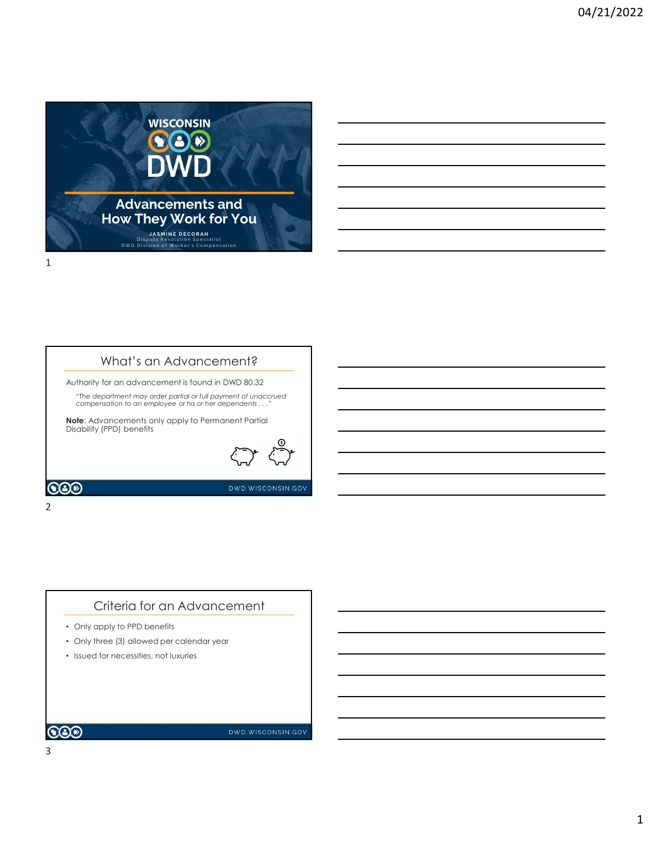

## What's an Advancement?

Authority for an advancement is found in DWD 80.32

"The department may order partial or full payment of unaccrued compensation to an employee or his or her dependents . . ."

Note: Advancements only apply to Permanent Partial Disability (PPD) benefits



DWD.WISCONSIN.GOV

**COO** 

### 2 and 2 and 2 and 2 and 2 and 2 and 2 and 2 and 2 and 2 and 2 and 2 and 2 and 2 and 2 and 2 and 2 and 2 and 2

## Criteria for an Advancement

- Only apply to PPD benefits
- Only three (3) allowed per calendar year
- Issued for necessities, not luxuries

## **COD**

DWD.WISCONSIN.GOV

3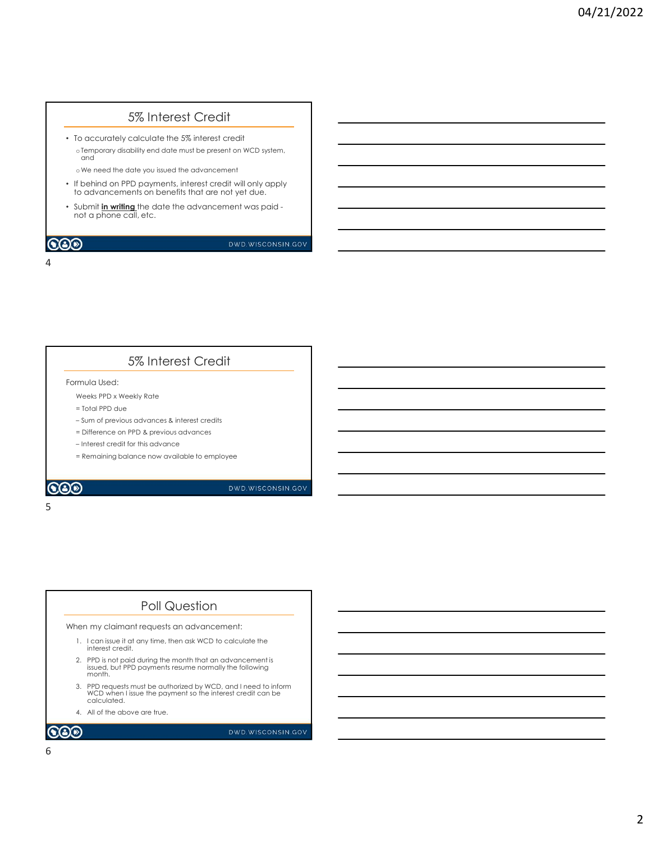# 5% Interest Credit

• To accurately calculate the 5% interest credit oTemporary disability end date must be present on WCD system,<br>and and – Sum of previous advances & interest credits

oWe need the date you issued the advancement

4

- If behind on PPD payments, interest credit will only apply to advancements on benefits that are not yet due. e We need the date you issued the advancement<br>
the brind on PPD poyments, interest credit will only apply<br>
o advancements on benefits that are not yet due.<br>
Submit in writing the date the advancement was paid-<br>
Dub in the
- Submit in writing the date the advancement was paid not a phone call, etc.

## 5% Interest Credit

Formula Used:

Weeks PPD x Weekly Rate

- = Total PPD due
- 
- = Difference on PPD & previous advances
- 
- = Remaining balance now available to employee

 $5<sub>5</sub>$ 

## Poll Question

When my claimant requests an advancement:

- 1. I can issue it at any time, then ask WCD to calculate the interest credit.
- 1. I can issue it at any time in the property of the calculate the property of the method of the serves on PPD & previous advances<br>
 Difference on PPD & previous advances<br>
 Interest credit for this advance<br>
 Remaining b mula Used:<br>
Yeeks PRD x Weeky Rate<br>
= Fold PPD due<br>
= Sum of previous advances<br>
= Difference on PPD & previous advances<br>
= Interest read film this advance<br>
= Remaining balance now available to employee<br>
<br> **POII QUestion**<br> issued, but PPD payments resume normally the following month. = Total PPD due<br>3. Point of previous advances<br>3. Pointered con PPD & previous advances<br>3. Premarining balance now available to employee<br>3. Permarining balance now available to employee<br>**DVD**<br>**DVD**<br>**DVD**<br>**DVD**<br>**DVD**<br>**DVD**<br> Linterest carefit for a prior sy period and variable to employee<br>
Linterest credit for this advance<br>
Permaining balance now available to employee<br>
DVD WISCONSIN GOV<br>
DVD WISCONSIN GOV<br>
DVD WISCONSIN GOV<br>
Interest credit.<br>
- 3. PPD requests must be authorized by WCD, and I need to inform WCD when I issue the payment so the interest credit can be calculated.
-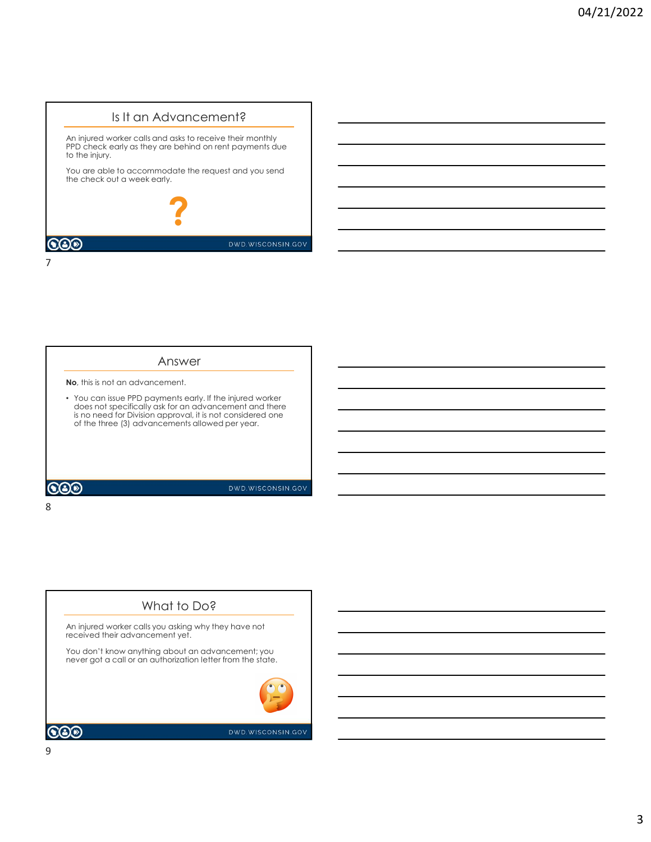# Is It an Advancement?

An injured worker calls and asks to receive their monthly PPD check early as they are behind on rent payments due to the injury.

You are able to accommodate the request and you send the check out a week early.



#### Answer

No, this is not an advancement.

8 and 2010 and 2010 and 2010 and 2010 and 2010 and 2010 and 2010 and 2010 and 2010 and 2010 and 2010 and 2010

7

• You can issue PPD payments early. If the injured worker does not specifically ask for an advancement and there is no need for Division approval, it is not considered one of the three (3) advancements allowed per year.

 $\odot$ 

DWD.WISCONSIN.GOV

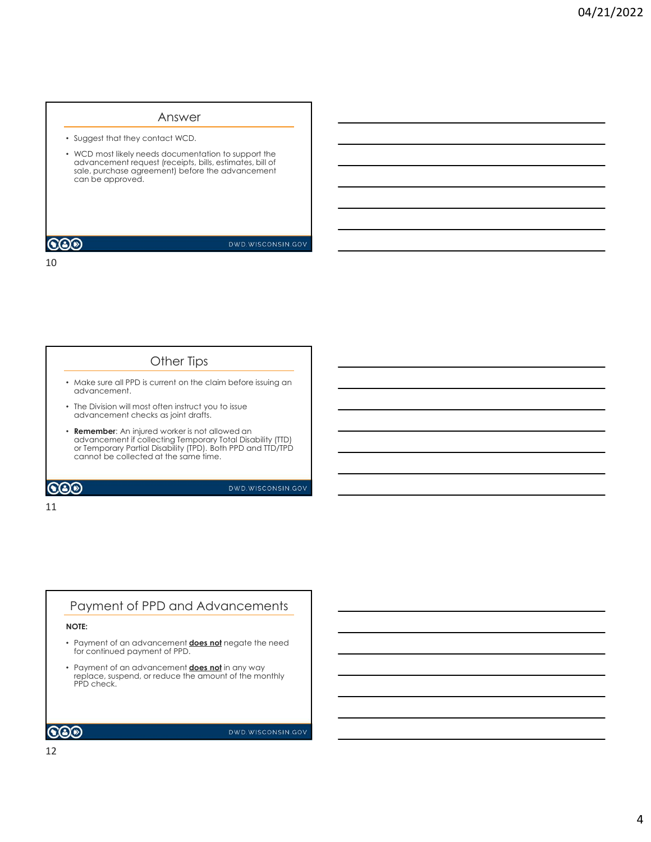## Answer

• Suggest that they contact WCD.

• WCD most likely needs documentation to support the advancement request (receipts, bills, estimates, bill of sale, purchase agreement) before the advancement can be approved.

## **COD**

DWD.WISCONSIN.GOV

#### 10

## Other Tips

- Make sure all PPD is current on the claim before issuing an advancement.
- The Division will most often instruct you to issue advancement checks as joint drafts.
- Remember: An injured worker is not allowed an advancement if collecting Temporary Total Disability (TTD) or Temporary Partial Disability (TPD). Both PPD and TTD/TPD cannot be collected at the same time.

 $\odot$ 

### DWD.WISCONSIN.GOV

## 11

# Payment of PPD and Advancements

## NOTE:

- Payment of an advancement **does not** negate the need for continued payment of PPD.
- Payment of an advancement **does not** in any way replace, suspend, or reduce the amount of the monthly PPD check.

 $\odot$ o

DWD.WISCONSIN.GOV